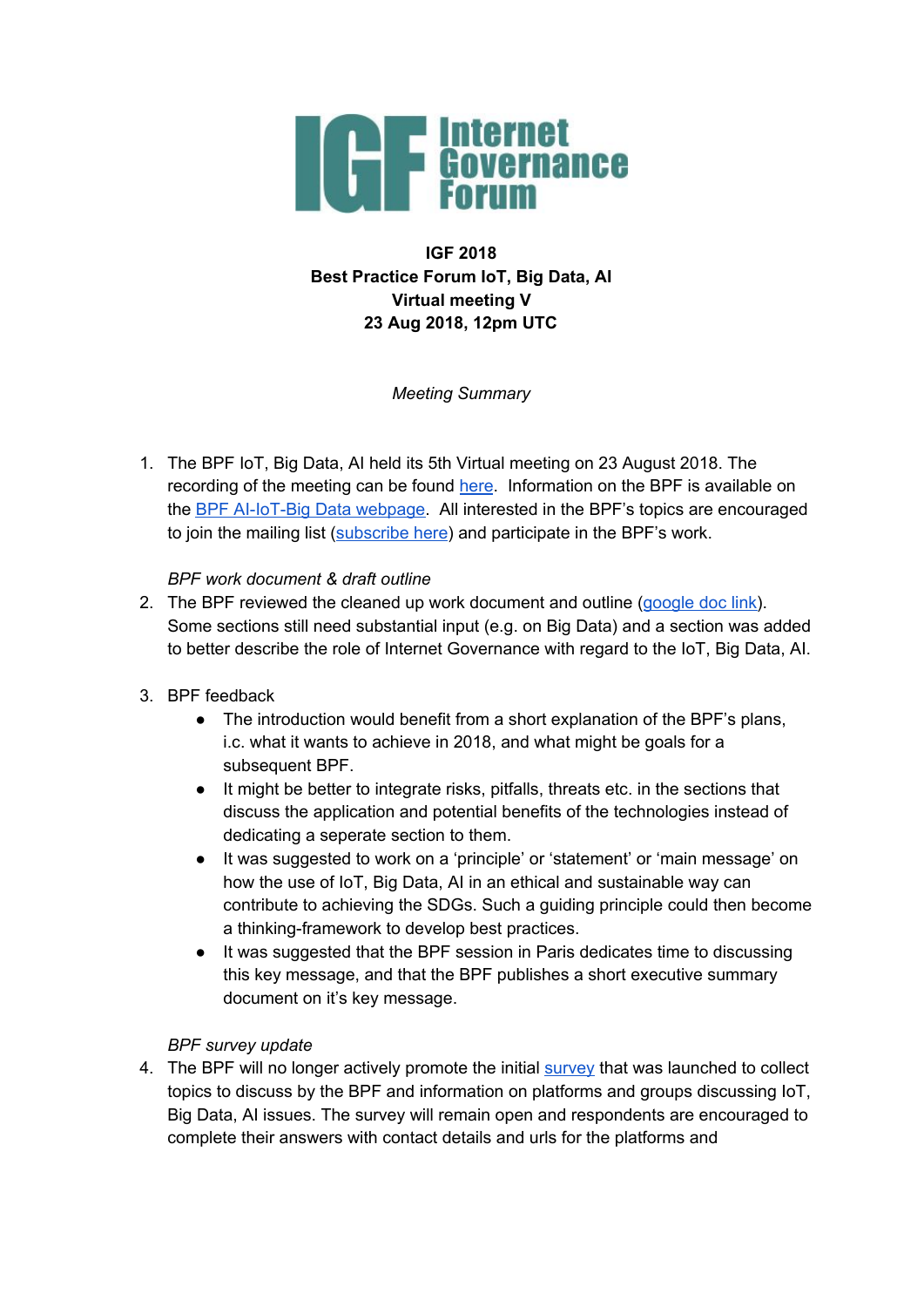

# **IGF 2018 Best Practice Forum IoT, Big Data, AI Virtual meeting V 23 Aug 2018, 12pm UTC**

# *Meeting Summary*

1. The BPF IoT, Big Data, AI held its 5th Virtual meeting on 23 August 2018. The recording of the meeting can be found [here](https://intgovforum.webex.com/intgovforum/ldr.php?RCID=0f1e50ac2c15a050515fa1aee4060c84). Information on the BPF is available on the BPF [AI-IoT-Big](https://www.intgovforum.org/multilingual/content/bpf-artificial-intelligence-ai-internet-of-things-iot-and-big-data) Data webpage. All interested in the BPF's topics are encouraged to join the mailing list ([subscribe](https://intgovforum.org/mailman/listinfo/aiiotbd_intgovforum.org) here) and participate in the BPF's work.

### *BPF work document & draft outline*

2. The BPF reviewed the cleaned up work document and outline [\(google](https://docs.google.com/document/d/1C0uuvsSOfYGkAadnEaH53DpEONOg8GozEh8ina6ph7k/edit?usp=sharing) doc link). Some sections still need substantial input (e.g. on Big Data) and a section was added to better describe the role of Internet Governance with regard to the IoT, Big Data, AI.

# 3. BPF feedback

- The introduction would benefit from a short explanation of the BPF's plans, i.c. what it wants to achieve in 2018, and what might be goals for a subsequent BPF.
- It might be better to integrate risks, pitfalls, threats etc. in the sections that discuss the application and potential benefits of the technologies instead of dedicating a seperate section to them.
- It was suggested to work on a 'principle' or 'statement' or 'main message' on how the use of IoT, Big Data, AI in an ethical and sustainable way can contribute to achieving the SDGs. Such a guiding principle could then become a thinking-framework to develop best practices.
- It was suggested that the BPF session in Paris dedicates time to discussing this key message, and that the BPF publishes a short executive summary document on it's key message.

### *BPF survey update*

4. The BPF will no longer actively promote the initial [survey](https://www.surveymonkey.com/r/IGF-BPF-AI-IOT-BIGDATA) that was launched to collect topics to discuss by the BPF and information on platforms and groups discussing IoT, Big Data, AI issues. The survey will remain open and respondents are encouraged to complete their answers with contact details and urls for the platforms and